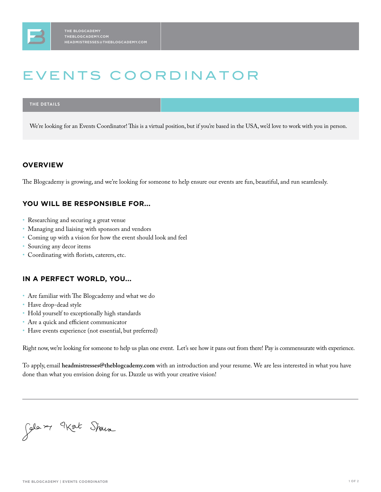# EVENTS COORDINATOR

#### **THE DETAILS**

We're looking for an Events Coordinator! This is a virtual position, but if you're based in the USA, we'd love to work with you in person.

### **OVERVIEW**

The Blogcademy is growing, and we're looking for someone to help ensure our events are fun, beautiful, and run seamlessly.

### **YOU WILL BE RESPONSIBLE FOR...**

- Researching and securing a great venue
- Managing and liaising with sponsors and vendors
- Coming up with a vision for how the event should look and feel
- Sourcing any decor items
- Coordinating with florists, caterers, etc.

### **IN A PERFECT WORLD, YOU...**

- Are familiar with The Blogcademy and what we do
- Have drop-dead style
- Hold yourself to exceptionally high standards
- Are a quick and efficient communicator
- Have events experience (not essential, but preferred)

Right now, we're looking for someone to help us plan one event. Let's see how it pans out from there! Pay is commensurate with experience.

To apply, email **headmistresses@theblogcademy.com** with an introduction and your resume. We are less interested in what you have done than what you envision doing for us. Dazzle us with your creative vision!

Jola m 9Kat Shows